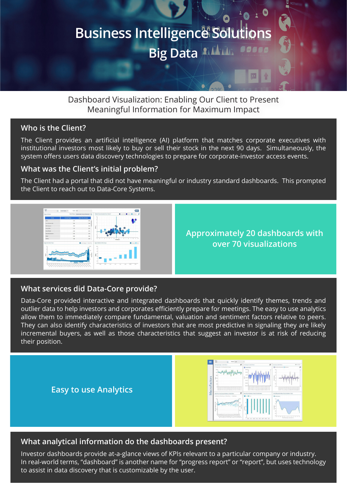# **Business Intelligence Solutions Big Data** Allian

Dashboard Visualization: Enabling Our Client to Present Meaningful Information for Maximum Impact

### **Who is the Client?**

The Client provides an artificial intelligence (AI) platform that matches corporate executives with institutional investors most likely to buy or sell their stock in the next 90 days. Simultaneously, the system offers users data discovery technologies to prepare for corporate-investor access events.

### **What was the Client's initial problem?**

The Client had a portal that did not have meaningful or industry standard dashboards. This prompted the Client to reach out to Data-Core Systems.



**Approximately 20 dashboards with over 70 visualizations**

### **What services did Data-Core provide?**

Data-Core provided interactive and integrated dashboards that quickly identify themes, trends and outlier data to help investors and corporates efficiently prepare for meetings. The easy to use analytics allow them to immediately compare fundamental, valuation and sentiment factors relative to peers. They can also identify characteristics of investors that are most predictive in signaling they are likely incremental buyers, as well as those characteristics that suggest an investor is at risk of reducing their position.



### **What analytical information do the dashboards present?**

Investor dashboards provide at-a-glance views of KPIs relevant to a particular company or industry. In real-world terms, "dashboard" is another name for "progress report" or "report", but uses technology to assist in data discovery that is customizable by the user.